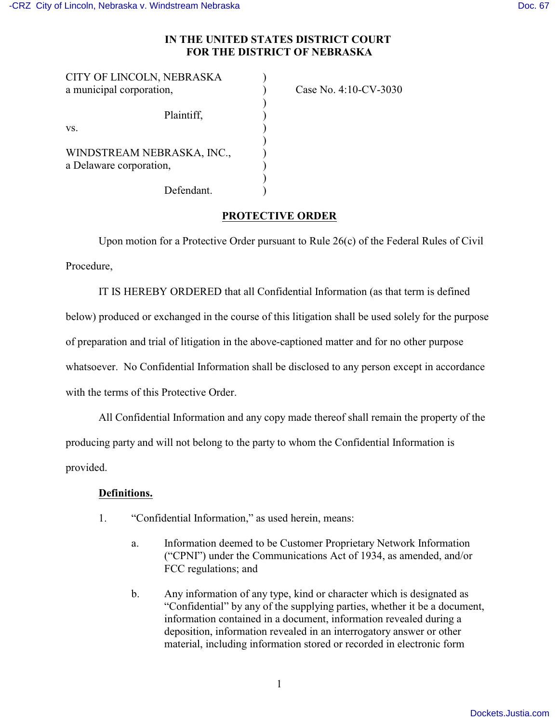## **IN THE UNITED STATES DISTRICT COURT FOR THE DISTRICT OF NEBRASKA**

| CITY OF LINCOLN, NEBRASKA  |                       |
|----------------------------|-----------------------|
| a municipal corporation,   | Case No. 4:10-CV-3030 |
|                            |                       |
| Plaintiff,                 |                       |
| VS.                        |                       |
|                            |                       |
| WINDSTREAM NEBRASKA, INC., |                       |
| a Delaware corporation,    |                       |
|                            |                       |
| Defendant.                 |                       |

## **PROTECTIVE ORDER**

Upon motion for a Protective Order pursuant to Rule 26(c) of the Federal Rules of Civil Procedure,

IT IS HEREBY ORDERED that all Confidential Information (as that term is defined below) produced or exchanged in the course of this litigation shall be used solely for the purpose of preparation and trial of litigation in the above-captioned matter and for no other purpose whatsoever. No Confidential Information shall be disclosed to any person except in accordance with the terms of this Protective Order.

All Confidential Information and any copy made thereof shall remain the property of the producing party and will not belong to the party to whom the Confidential Information is provided.

## **Definitions.**

- 1. "Confidential Information," as used herein, means:
	- a. Information deemed to be Customer Proprietary Network Information ("CPNI") under the Communications Act of 1934, as amended, and/or FCC regulations; and
	- b. Any information of any type, kind or character which is designated as "Confidential" by any of the supplying parties, whether it be a document, information contained in a document, information revealed during a deposition, information revealed in an interrogatory answer or other material, including information stored or recorded in electronic form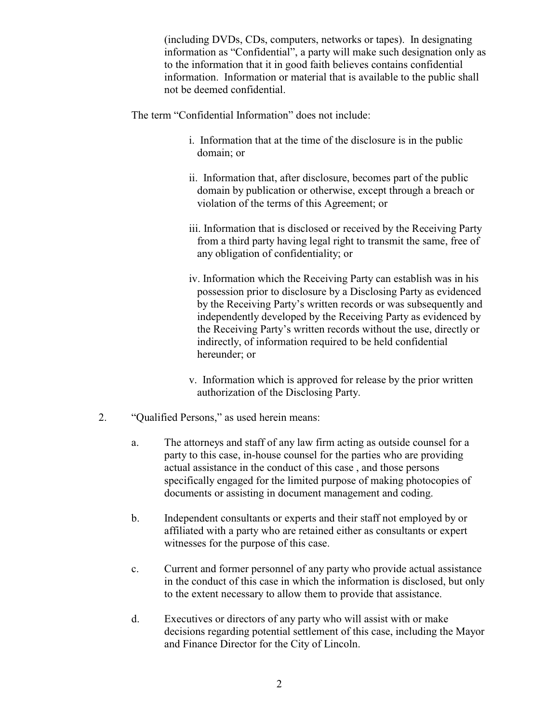(including DVDs, CDs, computers, networks or tapes). In designating information as "Confidential", a party will make such designation only as to the information that it in good faith believes contains confidential information. Information or material that is available to the public shall not be deemed confidential.

The term "Confidential Information" does not include:

- i. Information that at the time of the disclosure is in the public domain; or
- ii. Information that, after disclosure, becomes part of the public domain by publication or otherwise, except through a breach or violation of the terms of this Agreement; or
- iii. Information that is disclosed or received by the Receiving Party from a third party having legal right to transmit the same, free of any obligation of confidentiality; or
- iv. Information which the Receiving Party can establish was in his possession prior to disclosure by a Disclosing Party as evidenced by the Receiving Party's written records or was subsequently and independently developed by the Receiving Party as evidenced by the Receiving Party's written records without the use, directly or indirectly, of information required to be held confidential hereunder; or
- v. Information which is approved for release by the prior written authorization of the Disclosing Party.
- 2. "Qualified Persons," as used herein means:
	- a. The attorneys and staff of any law firm acting as outside counsel for a party to this case, in-house counsel for the parties who are providing actual assistance in the conduct of this case , and those persons specifically engaged for the limited purpose of making photocopies of documents or assisting in document management and coding.
	- b. Independent consultants or experts and their staff not employed by or affiliated with a party who are retained either as consultants or expert witnesses for the purpose of this case.
	- c. Current and former personnel of any party who provide actual assistance in the conduct of this case in which the information is disclosed, but only to the extent necessary to allow them to provide that assistance.
	- d. Executives or directors of any party who will assist with or make decisions regarding potential settlement of this case, including the Mayor and Finance Director for the City of Lincoln.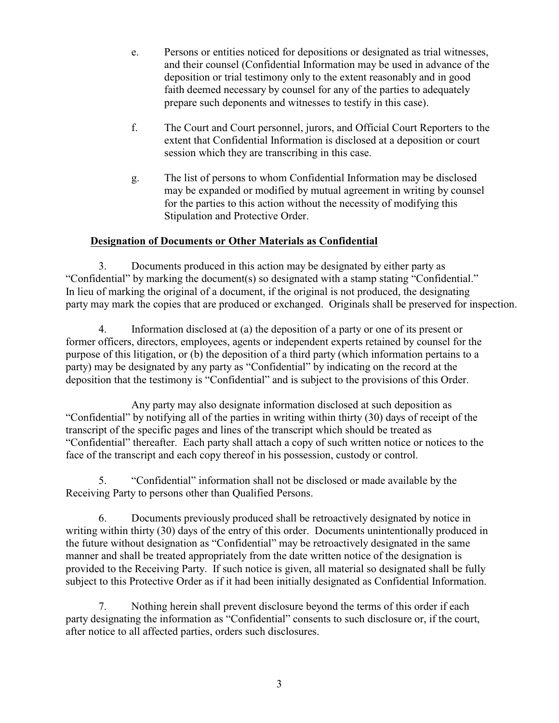- e. Persons or entities noticed for depositions or designated as trial witnesses, and their counsel (Confidential Information may be used in advance of the deposition or trial testimony only to the extent reasonably and in good faith deemed necessary by counsel for any of the parties to adequately prepare such deponents and witnesses to testify in this case).
- f. The Court and Court personnel, jurors, and Official Court Reporters to the extent that Confidential Information is disclosed at a deposition or court session which they are transcribing in this case.
- g. The list of persons to whom Confidential Information may be disclosed may be expanded or modified by mutual agreement in writing by counsel for the parties to this action without the necessity of modifying this Stipulation and Protective Order.

## **Designation of Documents or Other Materials as Confidential**

3. Documents produced in this action may be designated by either party as "Confidential" by marking the document(s) so designated with a stamp stating "Confidential." In lieu of marking the original of a document, if the original is not produced, the designating party may mark the copies that are produced or exchanged. Originals shall be preserved for inspection.

4. Information disclosed at (a) the deposition of a party or one of its present or former officers, directors, employees, agents or independent experts retained by counsel for the purpose of this litigation, or (b) the deposition of a third party (which information pertains to a party) may be designated by any party as "Confidential" by indicating on the record at the deposition that the testimony is "Confidential" and is subject to the provisions of this Order.

Any party may also designate information disclosed at such deposition as "Confidential" by notifying all of the parties in writing within thirty (30) days of receipt of the transcript of the specific pages and lines of the transcript which should be treated as "Confidential" thereafter. Each party shall attach a copy of such written notice or notices to the face of the transcript and each copy thereof in his possession, custody or control.

5. "Confidential" information shall not be disclosed or made available by the Receiving Party to persons other than Qualified Persons.

6. Documents previously produced shall be retroactively designated by notice in writing within thirty (30) days of the entry of this order. Documents unintentionally produced in the future without designation as "Confidential" may be retroactively designated in the same manner and shall be treated appropriately from the date written notice of the designation is provided to the Receiving Party. If such notice is given, all material so designated shall be fully subject to this Protective Order as if it had been initially designated as Confidential Information.

7. Nothing herein shall prevent disclosure beyond the terms of this order if each party designating the information as "Confidential" consents to such disclosure or, if the court, after notice to all affected parties, orders such disclosures.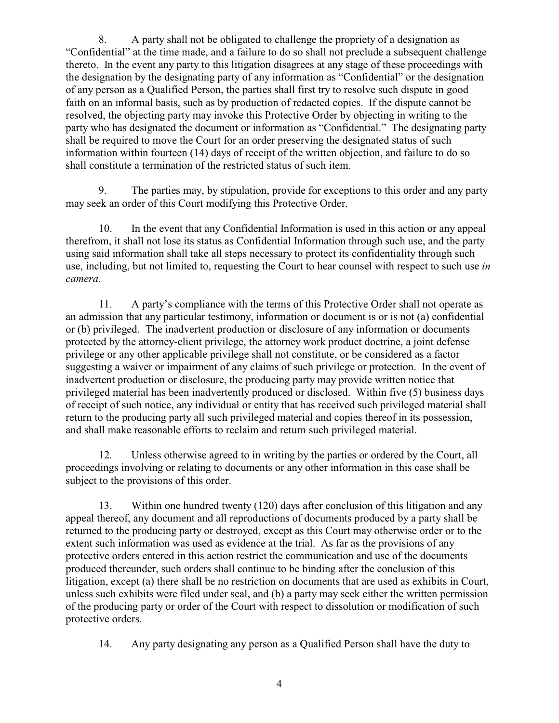8. A party shall not be obligated to challenge the propriety of a designation as "Confidential" at the time made, and a failure to do so shall not preclude a subsequent challenge thereto. In the event any party to this litigation disagrees at any stage of these proceedings with the designation by the designating party of any information as "Confidential" or the designation of any person as a Qualified Person, the parties shall first try to resolve such dispute in good faith on an informal basis, such as by production of redacted copies. If the dispute cannot be resolved, the objecting party may invoke this Protective Order by objecting in writing to the party who has designated the document or information as "Confidential." The designating party shall be required to move the Court for an order preserving the designated status of such information within fourteen (14) days of receipt of the written objection, and failure to do so shall constitute a termination of the restricted status of such item.

9. The parties may, by stipulation, provide for exceptions to this order and any party may seek an order of this Court modifying this Protective Order.

10. In the event that any Confidential Information is used in this action or any appeal therefrom, it shall not lose its status as Confidential Information through such use, and the party using said information shall take all steps necessary to protect its confidentiality through such use, including, but not limited to, requesting the Court to hear counsel with respect to such use *in camera.*

11. A party's compliance with the terms of this Protective Order shall not operate as an admission that any particular testimony, information or document is or is not (a) confidential or (b) privileged. The inadvertent production or disclosure of any information or documents protected by the attorney-client privilege, the attorney work product doctrine, a joint defense privilege or any other applicable privilege shall not constitute, or be considered as a factor suggesting a waiver or impairment of any claims of such privilege or protection. In the event of inadvertent production or disclosure, the producing party may provide written notice that privileged material has been inadvertently produced or disclosed. Within five (5) business days of receipt of such notice, any individual or entity that has received such privileged material shall return to the producing party all such privileged material and copies thereof in its possession, and shall make reasonable efforts to reclaim and return such privileged material.

12. Unless otherwise agreed to in writing by the parties or ordered by the Court, all proceedings involving or relating to documents or any other information in this case shall be subject to the provisions of this order.

13. Within one hundred twenty (120) days after conclusion of this litigation and any appeal thereof, any document and all reproductions of documents produced by a party shall be returned to the producing party or destroyed, except as this Court may otherwise order or to the extent such information was used as evidence at the trial. As far as the provisions of any protective orders entered in this action restrict the communication and use of the documents produced thereunder, such orders shall continue to be binding after the conclusion of this litigation, except (a) there shall be no restriction on documents that are used as exhibits in Court, unless such exhibits were filed under seal, and (b) a party may seek either the written permission of the producing party or order of the Court with respect to dissolution or modification of such protective orders.

14. Any party designating any person as a Qualified Person shall have the duty to